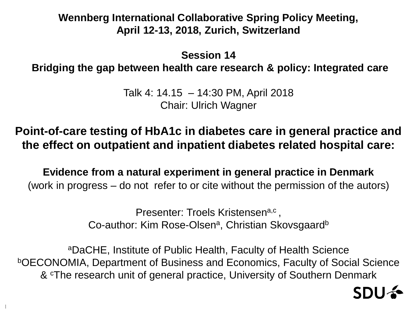### **Wennberg International Collaborative Spring Policy Meeting, April 12-13, 2018, Zurich, Switzerland**

**Session 14**

**Bridging the gap between health care research & policy: Integrated care**

Talk 4: 14.15 – 14:30 PM, April 2018 Chair: Ulrich Wagner

**Point-of-care testing of HbA1c in diabetes care in general practice and the effect on outpatient and inpatient diabetes related hospital care:**

**Evidence from a natural experiment in general practice in Denmark** (work in progress – do not refer to or cite without the permission of the autors)

> Presenter: Troels Kristensen<sup>a,c</sup>, Co-author: Kim Rose-Olsen<sup>a</sup>, Christian Skovsgaard<sup>b</sup>

<sup>a</sup>DaCHE, Institute of Public Health, Faculty of Health Science <sup>b</sup>OECONOMIA, Department of Business and Economics, Faculty of Social Science & <sup>c</sup>The research unit of general practice, University of Southern Denmark

1

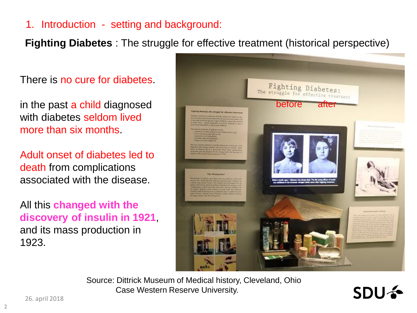**Fighting Diabetes** : The struggle for effective treatment (historical perspective)

There is no cure for diabetes.

in the past a child diagnosed with diabetes seldom lived more than six months.

Adult onset of diabetes led to death from complications associated with the disease.

All this **changed with the discovery of insulin in 1921**, and its mass production in 1923.



Source: Dittrick Museum of Medical history, Cleveland, Ohio Case Western Reserve University.

**SDU +**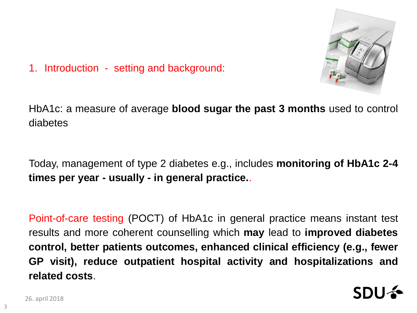

HbA1c: a measure of average **blood sugar the past 3 months** used to control diabetes

Today, management of type 2 diabetes e.g., includes **monitoring of HbA1c 2-4 times per year - usually - in general practice.**.

Point-of-care testing (POCT) of HbA1c in general practice means instant test results and more coherent counselling which **may** lead to **improved diabetes control, better patients outcomes, enhanced clinical efficiency (e.g., fewer GP visit), reduce outpatient hospital activity and hospitalizations and related costs**.

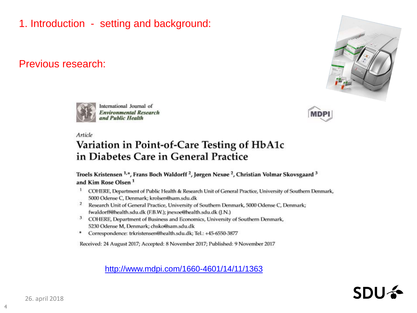#### Previous research:



**MDPI** 



International Journal of **Environmental Research** und Public Health

Article

# Variation in Point-of-Care Testing of HbA1c in Diabetes Care in General Practice

Troels Kristensen<sup>1,\*</sup>, Frans Boch Waldorff<sup>2</sup>, Jørgen Nexøe<sup>2</sup>, Christian Volmar Skovsgaard<sup>3</sup> and Kim Rose Olsen<sup>1</sup>

- $\mathbf{1}$ COHERE, Department of Public Health & Research Unit of General Practice, University of Southern Denmark, 5000 Odense C, Denmark; krolsen@sam.sdu.dk
- $\overline{2}$ Research Unit of General Practice, University of Southern Denmark, 5000 Odense C, Denmark; fwaldorff@health.sdu.dk (F.B.W.); jnexoe@health.sdu.dk (J.N.)
- $3$ COHERE, Department of Business and Economics, University of Southern Denmark, 5230 Odense M, Denmark; chsko@sam.sdu.dk
- Correspondence: trkristensen@health.sdu.dk; Tel.: +45-6550-3877 ۰

Received: 24 August 2017; Accepted: 8 November 2017; Published: 9 November 2017

<http://www.mdpi.com/1660-4601/14/11/1363>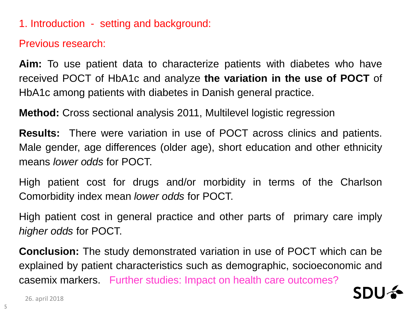Previous research:

**Aim:** To use patient data to characterize patients with diabetes who have received POCT of HbA1c and analyze **the variation in the use of POCT** of HbA1c among patients with diabetes in Danish general practice.

**Method:** Cross sectional analysis 2011, Multilevel logistic regression

**Results:** There were variation in use of POCT across clinics and patients. Male gender, age differences (older age), short education and other ethnicity means *lower odds* for POCT.

High patient cost for drugs and/or morbidity in terms of the Charlson Comorbidity index mean *lower odds* for POCT.

High patient cost in general practice and other parts of primary care imply *higher odds* for POCT.

**Conclusion:** The study demonstrated variation in use of POCT which can be explained by patient characteristics such as demographic, socioeconomic and casemix markers. Further studies: Impact on health care outcomes?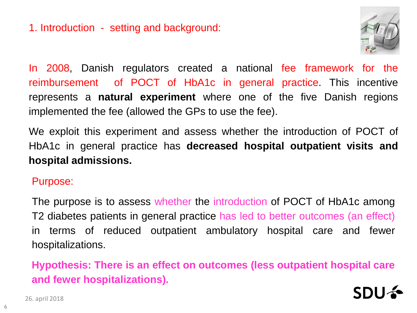

In 2008, Danish regulators created a national fee framework for the reimbursement of POCT of HbA1c in general practice. This incentive represents a **natural experiment** where one of the five Danish regions implemented the fee (allowed the GPs to use the fee).

We exploit this experiment and assess whether the introduction of POCT of HbA1c in general practice has **decreased hospital outpatient visits and hospital admissions.**

Purpose:

The purpose is to assess whether the introduction of POCT of HbA1c among T2 diabetes patients in general practice has led to better outcomes (an effect) in terms of reduced outpatient ambulatory hospital care and fewer hospitalizations.

**Hypothesis: There is an effect on outcomes (less outpatient hospital care and fewer hospitalizations).**

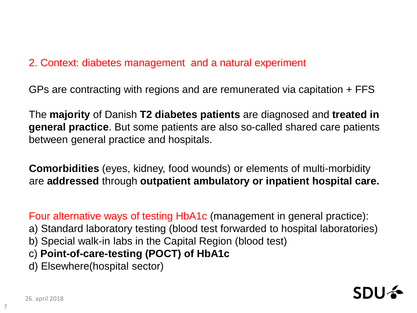# 2. Context: diabetes management and a natural experiment

GPs are contracting with regions and are remunerated via capitation + FFS

The **majority** of Danish **T2 diabetes patients** are diagnosed and **treated in general practice**. But some patients are also so-called shared care patients between general practice and hospitals.

**Comorbidities** (eyes, kidney, food wounds) or elements of multi-morbidity are **addressed** through **outpatient ambulatory or inpatient hospital care.**

Four alternative ways of testing HbA1c (management in general practice):

- a) Standard laboratory testing (blood test forwarded to hospital laboratories)
- b) Special walk-in labs in the Capital Region (blood test)
- c) **Point-of-care-testing (POCT) of HbA1c**
- d) Elsewhere(hospital sector)



7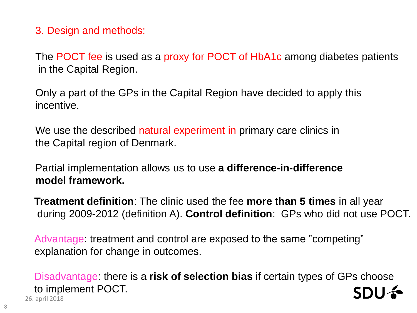3. Design and methods:

The POCT fee is used as a proxy for POCT of HbA1c among diabetes patients in the Capital Region.

Only a part of the GPs in the Capital Region have decided to apply this incentive.

We use the described natural experiment in primary care clinics in the Capital region of Denmark.

Partial implementation allows us to use **a difference-in-difference model framework.** 

**Treatment definition**: The clinic used the fee **more than 5 times** in all year during 2009-2012 (definition A). **Control definition**: GPs who did not use POCT.

Advantage: treatment and control are exposed to the same "competing" explanation for change in outcomes.

26. april 2018 Disadvantage: there is a **risk of selection bias** if certain types of GPs choose to implement POCT.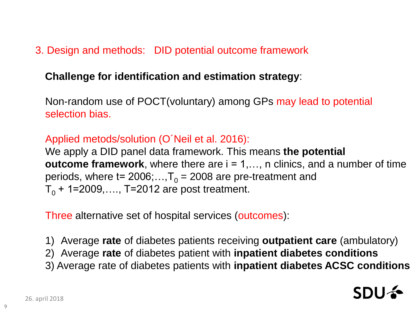# 3. Design and methods: DID potential outcome framework

### **Challenge for identification and estimation strategy**:

Non-random use of POCT(voluntary) among GPs may lead to potential selection bias.

#### Applied metods/solution (O´Neil et al. 2016):

We apply a DID panel data framework. This means **the potential outcome framework**, where there are  $i = 1,..., n$  clinics, and a number of time periods, where  $t= 2006; \ldots, T_0 = 2008$  are pre-treatment and  $T_0$  + 1=2009,..., T=2012 are post treatment.

Three alternative set of hospital services (outcomes):

1) Average **rate** of diabetes patients receiving **outpatient care** (ambulatory)

- 2) Average **rate** of diabetes patient with **inpatient diabetes conditions**
- 3) Average rate of diabetes patients with **inpatient diabetes ACSC conditions**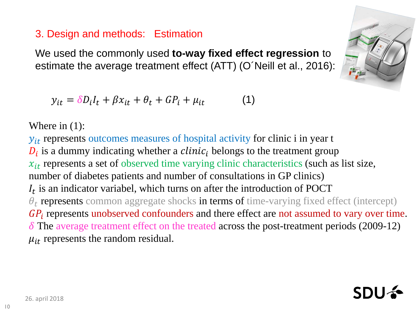# 3. Design and methods: Estimation

We used the commonly used **to-way fixed effect regression** to estimate the average treatment effect (ATT) (O´Neill et al., 2016):

$$
y_{it} = \delta D_i I_t + \beta x_{it} + \theta_t + G P_i + \mu_{it} \tag{1}
$$

Where in (1):

 $y_{it}$  represents outcomes measures of hospital activity for clinic i in year t  $D_i$  is a dummy indicating whether a *clinic*<sub>i</sub> belongs to the treatment group  $x_{it}$  represents a set of observed time varying clinic characteristics (such as list size, number of diabetes patients and number of consultations in GP clinics)  $I_t$  is an indicator variabel, which turns on after the introduction of POCT  $\theta_t$  represents common aggregate shocks in terms of time-varying fixed effect (intercept)  $GP_i$  represents unobserved confounders and there effect are not assumed to vary over time.  $\delta$  The average treatment effect on the treated across the post-treatment periods (2009-12)  $\mu_{it}$  represents the random residual.



SDI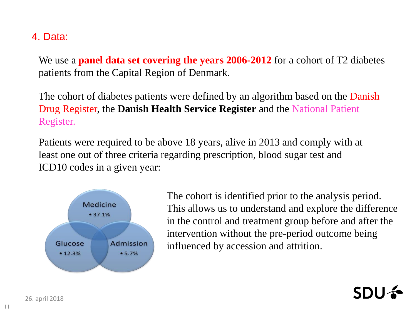### 4. Data:

We use a **panel data set covering the years 2006-2012** for a cohort of T2 diabetes patients from the Capital Region of Denmark.

The cohort of diabetes patients were defined by an algorithm based on the Danish Drug Register, the **Danish Health Service Register** and the National Patient Register.

Patients were required to be above 18 years, alive in 2013 and comply with at least one out of three criteria regarding prescription, blood sugar test and ICD10 codes in a given year:



The cohort is identified prior to the analysis period. This allows us to understand and explore the difference in the control and treatment group before and after the intervention without the pre-period outcome being influenced by accession and attrition.

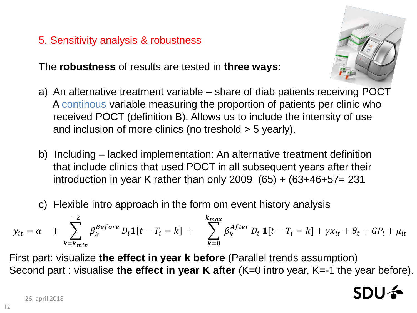# 5. Sensitivity analysis & robustness

The **robustness** of results are tested in **three ways**:

- a) An alternative treatment variable share of diab patients receiving POCT A continous variable measuring the proportion of patients per clinic who received POCT (definition B). Allows us to include the intensity of use and inclusion of more clinics (no treshold > 5 yearly).
- b) Including lacked implementation: An alternative treatment definition that include clinics that used POCT in all subsequent years after their introduction in year K rather than only  $2009$  (65) + (63+46+57= 231
- c) Flexible intro approach in the form om event history analysis

$$
y_{it} = \alpha + \sum_{k=k_{min}}^{-2} \beta_k^{Before} D_i \mathbf{1}[t - T_i = k] + \sum_{k=0}^{k_{max}} \beta_k^{After} D_i \mathbf{1}[t - T_i = k] + \gamma x_{it} + \theta_t + GP_i + \mu_{it}
$$

First part: visualize **the effect in year k before** (Parallel trends assumption) Second part : visualise **the effect in year K after** (K=0 intro year, K=-1 the year before).

12

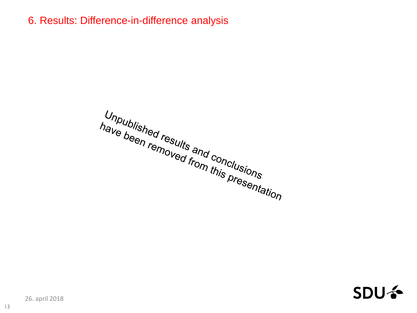6. Results: Difference-in-difference analysis

Unpublished results and conclusions<br>have been removed from this presentation



26. april 2018